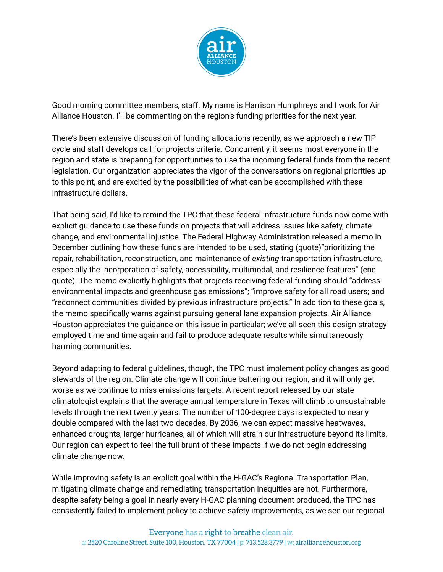

Good morning committee members, staff. My name is Harrison Humphreys and I work for Air Alliance Houston. I'll be commenting on the region's funding priorities for the next year.

There's been extensive discussion of funding allocations recently, as we approach a new TIP cycle and staff develops call for projects criteria. Concurrently, it seems most everyone in the region and state is preparing for opportunities to use the incoming federal funds from the recent legislation. Our organization appreciates the vigor of the conversations on regional priorities up to this point, and are excited by the possibilities of what can be accomplished with these infrastructure dollars.

That being said, I'd like to remind the TPC that these federal infrastructure funds now come with explicit guidance to use these funds on projects that will address issues like safety, climate change, and environmental injustice. The Federal Highway Administration released a memo in December outlining how these funds are intended to be used, stating (quote)"prioritizing the repair, rehabilitation, reconstruction, and maintenance of *existing* transportation infrastructure, especially the incorporation of safety, accessibility, multimodal, and resilience features" (end quote). The memo explicitly highlights that projects receiving federal funding should "address environmental impacts and greenhouse gas emissions"; "improve safety for all road users; and "reconnect communities divided by previous infrastructure projects." In addition to these goals, the memo specifically warns against pursuing general lane expansion projects. Air Alliance Houston appreciates the guidance on this issue in particular; we've all seen this design strategy employed time and time again and fail to produce adequate results while simultaneously harming communities.

Beyond adapting to federal guidelines, though, the TPC must implement policy changes as good stewards of the region. Climate change will continue battering our region, and it will only get worse as we continue to miss emissions targets. A recent report released by our state climatologist explains that the average annual temperature in Texas will climb to unsustainable levels through the next twenty years. The number of 100-degree days is expected to nearly double compared with the last two decades. By 2036, we can expect massive heatwaves, enhanced droughts, larger hurricanes, all of which will strain our infrastructure beyond its limits. Our region can expect to feel the full brunt of these impacts if we do not begin addressing climate change now.

While improving safety is an explicit goal within the H-GAC's Regional Transportation Plan, mitigating climate change and remediating transportation inequities are not. Furthermore, despite safety being a goal in nearly every H-GAC planning document produced, the TPC has consistently failed to implement policy to achieve safety improvements, as we see our regional